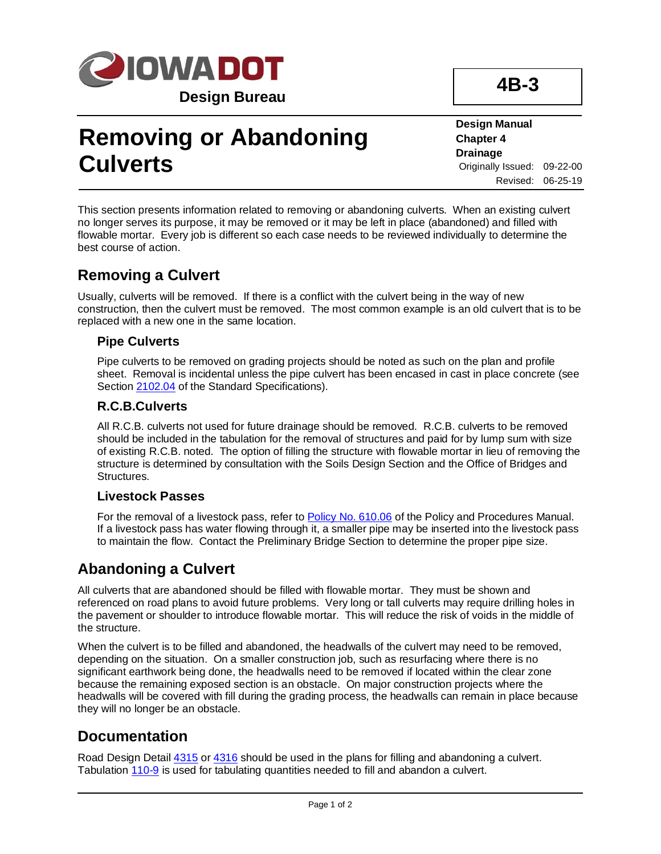

# **Removing or Abandoning Culverts**

**Design Manual Chapter 4 Drainage** Originally Issued: 09-22-00 Revised: 06-25-19

This section presents information related to removing or abandoning culverts. When an existing culvert no longer serves its purpose, it may be removed or it may be left in place (abandoned) and filled with flowable mortar. Every job is different so each case needs to be reviewed individually to determine the best course of action.

## **Removing a Culvert**

Usually, culverts will be removed. If there is a conflict with the culvert being in the way of new construction, then the culvert must be removed. The most common example is an old culvert that is to be replaced with a new one in the same location.

#### **Pipe Culverts**

Pipe culverts to be removed on grading projects should be noted as such on the plan and profile sheet. Removal is incidental unless the pipe culvert has been encased in cast in place concrete (see Section [2102.04](../../erl/current/GS/content/2102.htm) of the Standard Specifications).

#### **R.C.B.Culverts**

All R.C.B. culverts not used for future drainage should be removed. R.C.B. culverts to be removed should be included in the tabulation for the removal of structures and paid for by lump sum with size of existing R.C.B. noted. The option of filling the structure with flowable mortar in lieu of removing the structure is determined by consultation with the Soils Design Section and the Office of Bridges and Structures.

#### **Livestock Passes**

For the removal of a livestock pass, refer t[o Policy No. 610.06](https://iadot.sharepoint.com/sites/AS/PolicyLegislative/DOT%20Policies%20and%20Procedures/610.06.pdf) of the Policy and Procedures Manual. If a livestock pass has water flowing through it, a smaller pipe may be inserted into the livestock pass to maintain the flow. Contact the Preliminary Bridge Section to determine the proper pipe size.

## **Abandoning a Culvert**

All culverts that are abandoned should be filled with flowable mortar. They must be shown and referenced on road plans to avoid future problems. Very long or tall culverts may require drilling holes in the pavement or shoulder to introduce flowable mortar. This will reduce the risk of voids in the middle of the structure.

When the culvert is to be filled and abandoned, the headwalls of the culvert may need to be removed, depending on the situation. On a smaller construction job, such as resurfacing where there is no significant earthwork being done, the headwalls need to be removed if located within the clear zone because the remaining exposed section is an obstacle. On major construction projects where the headwalls will be covered with fill during the grading process, the headwalls can remain in place because they will no longer be an obstacle.

## **Documentation**

Road Design Detail  $4315$  or  $4316$  should be used in the plans for filling and abandoning a culvert. Tabulation [110-9](../tnt/PDFsandWebFiles/IndividualPDFs/0110-09.PDF) is used for tabulating quantities needed to fill and abandon a culvert.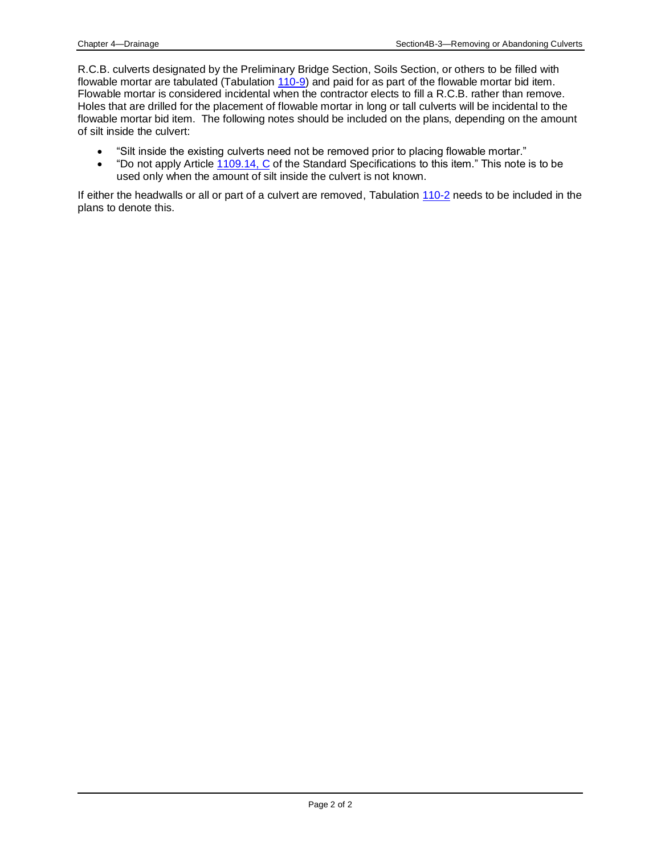R.C.B. culverts designated by the Preliminary Bridge Section, Soils Section, or others to be filled with flowable mortar are tabulated (Tabulation [110-9\)](../tnt/PDFsandWebFiles/IndividualPDFs/0110-09.PDF) and paid for as part of the flowable mortar bid item. Flowable mortar is considered incidental when the contractor elects to fill a R.C.B. rather than remove. Holes that are drilled for the placement of flowable mortar in long or tall culverts will be incidental to the flowable mortar bid item. The following notes should be included on the plans, depending on the amount of silt inside the culvert:

- "Silt inside the existing culverts need not be removed prior to placing flowable mortar."
- "Do not apply Article [1109.14, C](../../erl/current/GS/content/1109.htm) of the Standard Specifications to this item." This note is to be used only when the amount of silt inside the culvert is not known.

If either the headwalls or all or part of a culvert are removed, Tabulation [110-2](../tnt/PDFsandWebFiles/IndividualPDFs/0110-02.PDF) needs to be included in the plans to denote this.